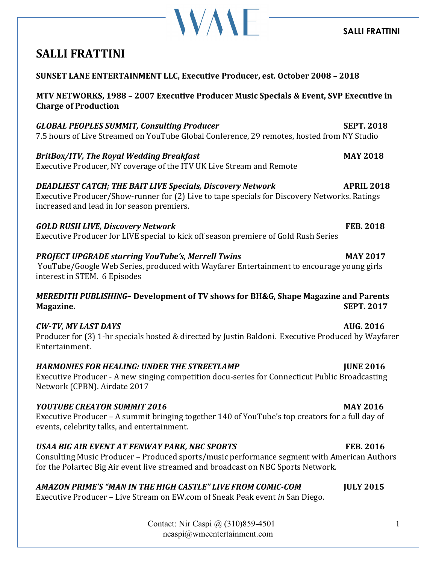### **SALLI FRATTINI**

## **SALLI FRATTINI**

| SUNSET LANE ENTERTAINMENT LLC, Executive Producer, est. October 2008 - 2018                                                                                                                                                       |                   |
|-----------------------------------------------------------------------------------------------------------------------------------------------------------------------------------------------------------------------------------|-------------------|
| MTV NETWORKS, 1988 - 2007 Executive Producer Music Specials & Event, SVP Executive in<br><b>Charge of Production</b>                                                                                                              |                   |
| <b>GLOBAL PEOPLES SUMMIT, Consulting Producer</b><br>7.5 hours of Live Streamed on YouTube Global Conference, 29 remotes, hosted from NY Studio                                                                                   | <b>SEPT. 2018</b> |
| <b>BritBox/ITV, The Royal Wedding Breakfast</b><br>Executive Producer, NY coverage of the ITV UK Live Stream and Remote                                                                                                           | <b>MAY 2018</b>   |
| <b>DEADLIEST CATCH; THE BAIT LIVE Specials, Discovery Network</b><br>Executive Producer/Show-runner for (2) Live to tape specials for Discovery Networks. Ratings<br>increased and lead in for season premiers.                   | <b>APRIL 2018</b> |
| <b>GOLD RUSH LIVE, Discovery Network</b><br>Executive Producer for LIVE special to kick off season premiere of Gold Rush Series                                                                                                   | <b>FEB. 2018</b>  |
| <b>PROJECT UPGRADE starring YouTube's, Merrell Twins</b><br>YouTube/Google Web Series, produced with Wayfarer Entertainment to encourage young girls<br>interest in STEM. 6 Episodes                                              | <b>MAY 2017</b>   |
| <b>MEREDITH PUBLISHING- Development of TV shows for BH&amp;G, Shape Magazine and Parents</b><br>Magazine.                                                                                                                         | <b>SEPT. 2017</b> |
| <b>CW-TV, MY LAST DAYS</b><br>Producer for (3) 1-hr specials hosted & directed by Justin Baldoni. Executive Produced by Wayfarer<br>Entertainment.                                                                                | <b>AUG. 2016</b>  |
| <b>HARMONIES FOR HEALING: UNDER THE STREETLAMP</b><br>Executive Producer - A new singing competition docu-series for Connecticut Public Broadcasting<br>Network (CPBN). Airdate 2017                                              | <b>JUNE 2016</b>  |
| <b>YOUTUBE CREATOR SUMMIT 2016</b><br>Executive Producer - A summit bringing together 140 of YouTube's top creators for a full day of<br>events, celebrity talks, and entertainment.                                              | <b>MAY 2016</b>   |
| USAA BIG AIR EVENT AT FENWAY PARK, NBC SPORTS<br>Consulting Music Producer - Produced sports/music performance segment with American Authors<br>for the Polartec Big Air event live streamed and broadcast on NBC Sports Network. | <b>FEB. 2016</b>  |

**WAVE** 

*AMAZON PRIME'S "MAN IN THE HIGH CASTLE" LIVE FROM COMIC-COM*  **JULY 2015**

Executive Producer - Live Stream on EW.com of Sneak Peak event *in* San Diego.

Contact: Nir Caspi @ (310)859-4501 ncaspi@wmeentertainment.com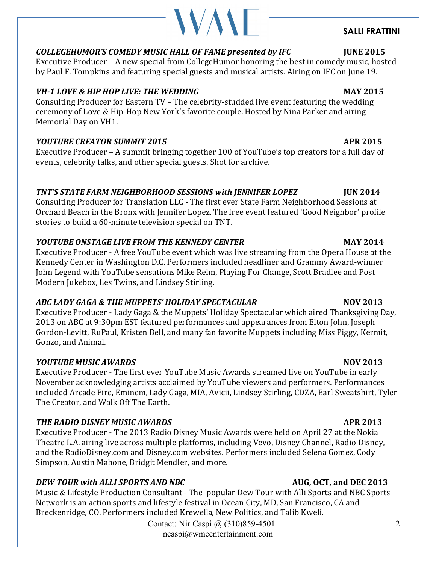### 2

### COLLEGEHUMOR'S COMEDY MUSIC HALL OF FAME presented by IFC **INCICLEGEHUMOR'S** COMEDY MUSIC HALL OF FAME presented by IFC

Executive Producer – A new special from CollegeHumor honoring the best in comedy music, hosted by Paul F. Tompkins and featuring special guests and musical artists. Airing on IFC on June 19.

### *VH-1 LOVE & HIP HOP LIVE: THE WEDDING* **MAY 2015**

Consulting Producer for Eastern TV - The celebrity-studded live event featuring the wedding ceremony of Love & Hip-Hop New York's favorite couple. Hosted by Nina Parker and airing Memorial Day on VH1.

### *YOUTUBE CREATOR SUMMIT 2015* **APR 2015**

Executive Producer – A summit bringing together 100 of YouTube's top creators for a full day of events, celebrity talks, and other special guests. Shot for archive.

### **TNT'S STATE FARM NEIGHBORHOOD SESSIONS with JENNIFER LOPEZ UIN 2014**

Consulting Producer for Translation LLC - The first ever State Farm Neighborhood Sessions at Orchard Beach in the Bronx with Jennifer Lopez. The free event featured 'Good Neighbor' profile stories to build a 60-minute television special on TNT.

### *YOUTUBE ONSTAGE LIVE FROM THE KENNEDY CENTER* **MAY 2014**

Executive Producer - A free YouTube event which was live streaming from the Opera House at the Kennedy Center in Washington D.C. Performers included headliner and Grammy Award-winner John Legend with YouTube sensations Mike Relm, Playing For Change, Scott Bradlee and Post Modern Jukebox, Les Twins, and Lindsey Stirling.

### ABC LADY GAGA & THE MUPPETS' HOLIDAY SPECTACULAR **NOV 2013**

Executive Producer - Lady Gaga & the Muppets' Holiday Spectacular which aired Thanksgiving Day, 2013 on ABC at 9:30pm EST featured performances and appearances from Elton John, Joseph Gordon-Levitt, RuPaul, Kristen Bell, and many fan favorite Muppets including Miss Piggy, Kermit, Gonzo, and Animal.

### *YOUTUBE MUSIC AWARDS*  **NOV 2013**

Executive Producer - The first ever YouTube Music Awards streamed live on YouTube in early November acknowledging artists acclaimed by YouTube viewers and performers. Performances included Arcade Fire, Eminem, Lady Gaga, MIA, Avicii, Lindsey Stirling, CDZA, Earl Sweatshirt, Tyler The Creator, and Walk Off The Earth.

### THE RADIO DISNEY MUSIC AWARDS **ARRIVAL**

Executive Producer - The 2013 Radio Disney Music Awards were held on April 27 at the Nokia Theatre L.A. airing live across multiple platforms, including Vevo, Disney Channel, Radio Disney, and the RadioDisney.com and Disney.com websites. Performers included Selena Gomez, Cody Simpson, Austin Mahone, Bridgit Mendler, and more.

### *DEW TOUR with ALLI SPORTS AND NBC* AUG, OCT, and DEC 2013

Music & Lifestyle Production Consultant - The popular Dew Tour with Alli Sports and NBC Sports Network is an action sports and lifestyle festival in Ocean City, MD, San Francisco, CA and Breckenridge, CO. Performers included Krewella, New Politics, and Talib Kweli.

Contact: Nir Caspi @ (310)859-4501 ncaspi@wmeentertainment.com

**SALLI FRATTINI**

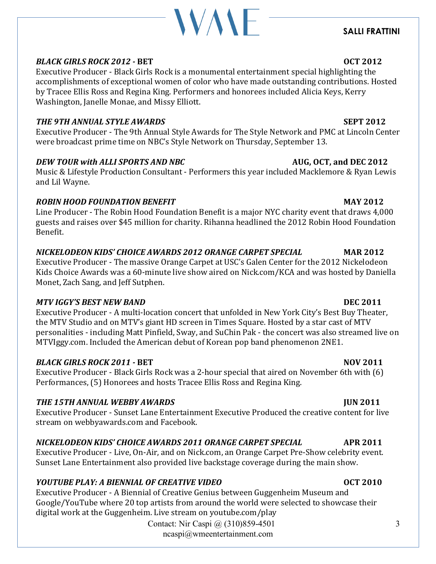# **WAVE**

### **SALLI FRATTINI**

### *BLACK GIRLS ROCK 2012 - BET BET* **<b>***OCT 2012*

Executive Producer - Black Girls Rock is a monumental entertainment special highlighting the accomplishments of exceptional women of color who have made outstanding contributions. Hosted by Tracee Ellis Ross and Regina King. Performers and honorees included Alicia Keys, Kerry Washington, Janelle Monae, and Missy Elliott.

### **THE 9TH ANNUAL STYLE AWARDS SEPT 2012**

Executive Producer - The 9th Annual Style Awards for The Style Network and PMC at Lincoln Center were broadcast prime time on NBC's Style Network on Thursday, September 13.

### *DEW TOUR with ALLI SPORTS AND NBC* **AUG, OCT, and DEC 2012**

Music & Lifestyle Production Consultant - Performers this year included Macklemore & Ryan Lewis and Lil Wayne.

### *ROBIN HOOD FOUNDATION BENEFIT*  **MAY 2012**

Line Producer - The Robin Hood Foundation Benefit is a major NYC charity event that draws 4,000 guests and raises over \$45 million for charity. Rihanna headlined the 2012 Robin Hood Foundation Benefit. 

### *NICKELODEON KIDS' CHOICE AWARDS 2012 ORANGE CARPET SPECIAL* **MAR 2012**

Executive Producer - The massive Orange Carpet at USC's Galen Center for the 2012 Nickelodeon Kids Choice Awards was a 60-minute live show aired on Nick.com/KCA and was hosted by Daniella Monet, Zach Sang, and Jeff Sutphen.

### *MTV* IGGY'S BEST NEW BAND **DEC** 2011

Executive Producer - A multi-location concert that unfolded in New York City's Best Buy Theater, the MTV Studio and on MTV's giant HD screen in Times Square. Hosted by a star cast of MTV personalities - including Matt Pinfield, Sway, and SuChin Pak - the concert was also streamed live on MTVIggy.com. Included the American debut of Korean pop band phenomenon 2NE1.

### *BLACK GIRLS ROCK 2011* **- BET <b>***NOV 2011*

Executive Producer - Black Girls Rock was a 2-hour special that aired on November 6th with  $(6)$ Performances, (5) Honorees and hosts Tracee Ellis Ross and Regina King.

### *THE 15TH ANNUAL WEBBY AWARDS JUN 2011*

Executive Producer - Sunset Lane Entertainment Executive Produced the creative content for live stream on webbyawards.com and Facebook.

### *NICKELODEON KIDS' CHOICE AWARDS 2011 ORANGE CARPET SPECIAL* **APR 2011**

Executive Producer - Live, On-Air, and on Nick.com, an Orange Carpet Pre-Show celebrity event. Sunset Lane Entertainment also provided live backstage coverage during the main show.

### *YOUTUBE PLAY:* A BIENNIAL OF CREATIVE VIDEO *OCT 2010*

Executive Producer - A Biennial of Creative Genius between Guggenheim Museum and Google/YouTube where 20 top artists from around the world were selected to showcase their digital work at the Guggenheim. Live stream on youtube.com/play

Contact: Nir Caspi @ (310)859-4501 ncaspi@wmeentertainment.com

### 3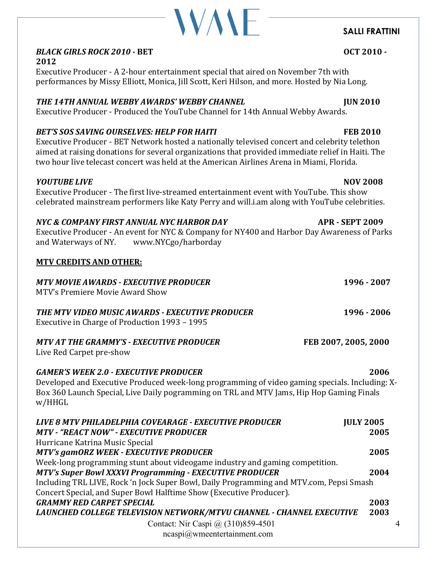### **BLACK GIRLS ROCK 2010 - BET DESIGNATION OCT 2010 -2012**

Executive Producer - A 2-hour entertainment special that aired on November 7th with performances by Missy Elliott, Monica, Jill Scott, Keri Hilson, and more. Hosted by Nia Long.

**VAVE** 

### *THE 14TH ANNUAL WEBBY AWARDS' WEBBY CHANNEL JUN 2010*

Executive Producer - Produced the YouTube Channel for 14th Annual Webby Awards.

### *BET'S* SOS SAVING OURSELVES: HELP FOR HAITI **FEB 2010**

Executive Producer - BET Network hosted a nationally televised concert and celebrity telethon aimed at raising donations for several organizations that provided immediate relief in Haiti. The two hour live telecast concert was held at the American Airlines Arena in Miami, Florida.

### *YOUTUBE LIVE* **NOV** 2008

Executive Producer - The first live-streamed entertainment event with YouTube. This show celebrated mainstream performers like Katy Perry and will.i.am along with YouTube celebrities.

### *NYC & COMPANY FIRST ANNUAL NYC HARBOR DAY* **APR - SEPT 2009**

Executive Producer - An event for NYC & Company for NY400 and Harbor Day Awareness of Parks and Waterways of NY. www.NYCgo/harborday

### **MTV CREDITS AND OTHER:**

| <b>MTV MOVIE AWARDS - EXECUTIVE PRODUCER</b><br>MTV's Premiere Movie Award Show                                                                                                                                                                      | 1996 - 2007          |
|------------------------------------------------------------------------------------------------------------------------------------------------------------------------------------------------------------------------------------------------------|----------------------|
| THE MTV VIDEO MUSIC AWARDS - EXECUTIVE PRODUCER<br>Executive in Charge of Production 1993 - 1995                                                                                                                                                     | 1996 - 2006          |
| MTV AT THE GRAMMY'S - EXECUTIVE PRODUCER<br>Live Red Carpet pre-show                                                                                                                                                                                 | FEB 2007, 2005, 2000 |
| <b>GAMER'S WEEK 2.0 - EXECUTIVE PRODUCER</b><br>Developed and Executive Produced week-long programming of video gaming specials. Including: X-<br>Box 360 Launch Special, Live Daily pogramming on TRL and MTV Jams, Hip Hop Gaming Finals<br>w/HHGL | 2006                 |
| LIVE 8 MTV PHILADELPHIA COVEARAGE - EXECUTIVE PRODUCER                                                                                                                                                                                               | <b>JULY 2005</b>     |
| <b>MTV - "REACT NOW" - EXECUTIVE PRODUCER</b>                                                                                                                                                                                                        | 2005                 |
| Hurricane Katrina Music Special                                                                                                                                                                                                                      |                      |
| <b>MTV's gamORZ WEEK - EXECUTIVE PRODUCER</b>                                                                                                                                                                                                        | 2005                 |
| Week-long programming stunt about videogame industry and gaming competition.                                                                                                                                                                         |                      |
| <b>MTV's Super Bowl XXXVI Programming - EXECUTIVE PRODUCER</b>                                                                                                                                                                                       | 2004                 |
| Including TRL LIVE, Rock 'n Jock Super Bowl, Daily Programming and MTV.com, Pepsi Smash                                                                                                                                                              |                      |
| Concert Special, and Super Bowl Halftime Show (Executive Producer).                                                                                                                                                                                  |                      |
| <b>GRAMMY RED CARPET SPECIAL</b>                                                                                                                                                                                                                     | 2003                 |
| LAUNCHED COLLEGE TELEVISION NETWORK/MTVU CHANNEL - CHANNEL EXECUTIVE                                                                                                                                                                                 | 2003                 |
|                                                                                                                                                                                                                                                      |                      |

Contact: Nir Caspi @ (310)859-4501 ncaspi@wmeentertainment.com

# **SALLI FRATTINI**

4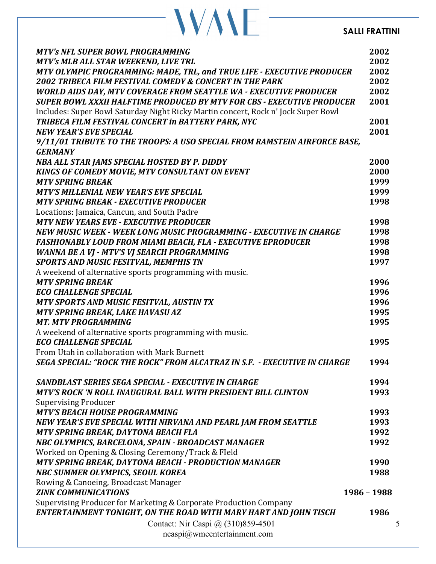### **SALLI FRATTINI**

|  |  | <b>WANE</b> |
|--|--|-------------|
|  |  |             |

| <b>MTV's NFL SUPER BOWL PROGRAMMING</b>                                           | 2002        |
|-----------------------------------------------------------------------------------|-------------|
| MTV's MLB ALL STAR WEEKEND, LIVE TRL                                              | 2002        |
| MTV OLYMPIC PROGRAMMING: MADE, TRL, and TRUE LIFE - EXECUTIVE PRODUCER            | 2002        |
| <b>2002 TRIBECA FILM FESTIVAL COMEDY &amp; CONCERT IN THE PARK</b>                | 2002        |
| <b>WORLD AIDS DAY, MTV COVERAGE FROM SEATTLE WA - EXECUTIVE PRODUCER</b>          | 2002        |
| SUPER BOWL XXXII HALFTIME PRODUCED BY MTV FOR CBS - EXECUTIVE PRODUCER            | 2001        |
| Includes: Super Bowl Saturday Night Ricky Martin concert, Rock n' Jock Super Bowl |             |
| TRIBECA FILM FESTIVAL CONCERT in BATTERY PARK, NYC                                | 2001        |
| <b>NEW YEAR'S EVE SPECIAL</b>                                                     | 2001        |
| 9/11/01 TRIBUTE TO THE TROOPS: A USO SPECIAL FROM RAMSTEIN AIRFORCE BASE,         |             |
| <b>GERMANY</b>                                                                    |             |
| NBA ALL STAR JAMS SPECIAL HOSTED BY P. DIDDY                                      | 2000        |
| KINGS OF COMEDY MOVIE, MTV CONSULTANT ON EVENT                                    | 2000        |
| <b>MTV SPRING BREAK</b>                                                           | 1999        |
| <b>MTV'S MILLENIAL NEW YEAR'S EVE SPECIAL</b>                                     | 1999        |
| <b>MTV SPRING BREAK - EXECUTIVE PRODUCER</b>                                      | 1998        |
| Locations: Jamaica, Cancun, and South Padre                                       |             |
| <b>MTV NEW YEARS EVE - EXECUTIVE PRODUCER</b>                                     | 1998        |
| NEW MUSIC WEEK - WEEK LONG MUSIC PROGRAMMING - EXECUTIVE IN CHARGE                | 1998        |
| <b>FASHIONABLY LOUD FROM MIAMI BEACH, FLA - EXECUTIVE EPRODUCER</b>               | 1998        |
| <b>WANNA BE A VJ - MTV'S VJ SEARCH PROGRAMMING</b>                                | 1998        |
| <b>SPORTS AND MUSIC FESITVAL, MEMPHIS TN</b>                                      | 1997        |
| A weekend of alternative sports programming with music.                           |             |
| <b>MTV SPRING BREAK</b>                                                           | 1996        |
| <b>ECO CHALLENGE SPECIAL</b>                                                      | 1996        |
| MTV SPORTS AND MUSIC FESITVAL, AUSTIN TX                                          | 1996        |
| MTV SPRING BREAK, LAKE HAVASU AZ                                                  | 1995        |
| <b>MT. MTV PROGRAMMING</b>                                                        | 1995        |
| A weekend of alternative sports programming with music.                           |             |
| <b>ECO CHALLENGE SPECIAL</b>                                                      | 1995        |
| From Utah in collaboration with Mark Burnett                                      |             |
| SEGA SPECIAL: "ROCK THE ROCK" FROM ALCATRAZ IN S.F. - EXECUTIVE IN CHARGE         | 1994        |
|                                                                                   |             |
| SANDBLAST SERIES SEGA SPECIAL - EXECUTIVE IN CHARGE                               | 1994        |
| MTV'S ROCK 'N ROLL INAUGURAL BALL WITH PRESIDENT BILL CLINTON                     | 1993        |
| <b>Supervising Producer</b>                                                       |             |
| <b>MTV'S BEACH HOUSE PROGRAMMING</b>                                              | 1993        |
| NEW YEAR'S EVE SPECIAL WITH NIRVANA AND PEARL JAM FROM SEATTLE                    | 1993        |
| MTV SPRING BREAK, DAYTONA BEACH FLA                                               | 1992        |
| NBC OLYMPICS, BARCELONA, SPAIN - BROADCAST MANAGER                                | 1992        |
| Worked on Opening & Closing Ceremony/Track & Fleld                                |             |
| MTV SPRING BREAK, DAYTONA BEACH - PRODUCTION MANAGER                              | 1990        |
| NBC SUMMER OLYMPICS, SEOUL KOREA                                                  | 1988        |
| Rowing & Canoeing, Broadcast Manager                                              |             |
| <b>ZINK COMMUNICATIONS</b>                                                        | 1986 - 1988 |
| Supervising Producer for Marketing & Corporate Production Company                 |             |
| ENTERTAINMENT TONIGHT, ON THE ROAD WITH MARY HART AND JOHN TISCH                  | 1986        |
| Contact: Nir Caspi @ (310)859-4501                                                | 5           |
| $ncaspi@$ wmeentertainment.com                                                    |             |
|                                                                                   |             |